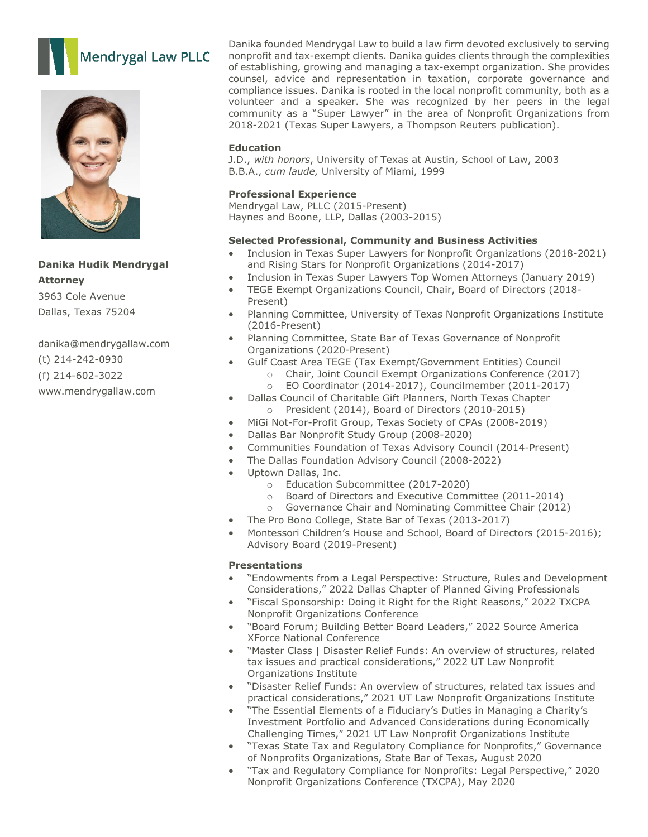



# **Danika Hudik Mendrygal Attorney**

3963 Cole Avenue Dallas, Texas 75204

danika@mendrygallaw.com (t) 214-242-0930 (f) 214-602-3022 www.mendrygallaw.com

Danika founded Mendrygal Law to build a law firm devoted exclusively to serving nonprofit and tax-exempt clients. Danika guides clients through the complexities of establishing, growing and managing a tax-exempt organization. She provides counsel, advice and representation in taxation, corporate governance and compliance issues. Danika is rooted in the local nonprofit community, both as a volunteer and a speaker. She was recognized by her peers in the legal community as a "Super Lawyer" in the area of Nonprofit Organizations from 2018-2021 (Texas Super Lawyers, a Thompson Reuters publication).

### **Education**

J.D., *with honors*, University of Texas at Austin, School of Law, 2003 B.B.A., *cum laude,* University of Miami, 1999

## **Professional Experience**

Mendrygal Law, PLLC (2015-Present) Haynes and Boone, LLP, Dallas (2003-2015)

#### **Selected Professional, Community and Business Activities**

- Inclusion in Texas Super Lawyers for Nonprofit Organizations (2018-2021) and Rising Stars for Nonprofit Organizations (2014-2017)
- Inclusion in Texas Super Lawyers Top Women Attorneys (January 2019)
- TEGE Exempt Organizations Council, Chair, Board of Directors (2018- Present)
- Planning Committee, University of Texas Nonprofit Organizations Institute (2016-Present)
- Planning Committee, State Bar of Texas Governance of Nonprofit Organizations (2020-Present)
- Gulf Coast Area TEGE (Tax Exempt/Government Entities) Council
	- o Chair, Joint Council Exempt Organizations Conference (2017)<br>
	o FO Coordinator (2014-2017), Councilmember (2011-2017) EO Coordinator (2014-2017), Councilmember (2011-2017)
- Dallas Council of Charitable Gift Planners, North Texas Chapter o President (2014), Board of Directors (2010-2015)
- MiGi Not-For-Profit Group, Texas Society of CPAs (2008-2019)
- Dallas Bar Nonprofit Study Group (2008-2020)
- Communities Foundation of Texas Advisory Council (2014-Present)
- The Dallas Foundation Advisory Council (2008-2022)
- Uptown Dallas, Inc.
	- o Education Subcommittee (2017-2020)
	- o Board of Directors and Executive Committee (2011-2014)
	- Governance Chair and Nominating Committee Chair (2012)
- The Pro Bono College, State Bar of Texas (2013-2017)
- Montessori Children's House and School, Board of Directors (2015-2016); Advisory Board (2019-Present)

#### **Presentations**

- "Endowments from a Legal Perspective: Structure, Rules and Development Considerations," 2022 Dallas Chapter of Planned Giving Professionals
- "Fiscal Sponsorship: Doing it Right for the Right Reasons," 2022 TXCPA Nonprofit Organizations Conference
- "Board Forum; Building Better Board Leaders," 2022 Source America XForce National Conference
- "Master Class | Disaster Relief Funds: An overview of structures, related tax issues and practical considerations," 2022 UT Law Nonprofit Organizations Institute
- "Disaster Relief Funds: An overview of structures, related tax issues and practical considerations," 2021 UT Law Nonprofit Organizations Institute
- "The Essential Elements of a Fiduciary's Duties in Managing a Charity's Investment Portfolio and Advanced Considerations during Economically Challenging Times," 2021 UT Law Nonprofit Organizations Institute
- "Texas State Tax and Regulatory Compliance for Nonprofits," Governance of Nonprofits Organizations, State Bar of Texas, August 2020
- "Tax and Regulatory Compliance for Nonprofits: Legal Perspective," 2020 Nonprofit Organizations Conference (TXCPA), May 2020